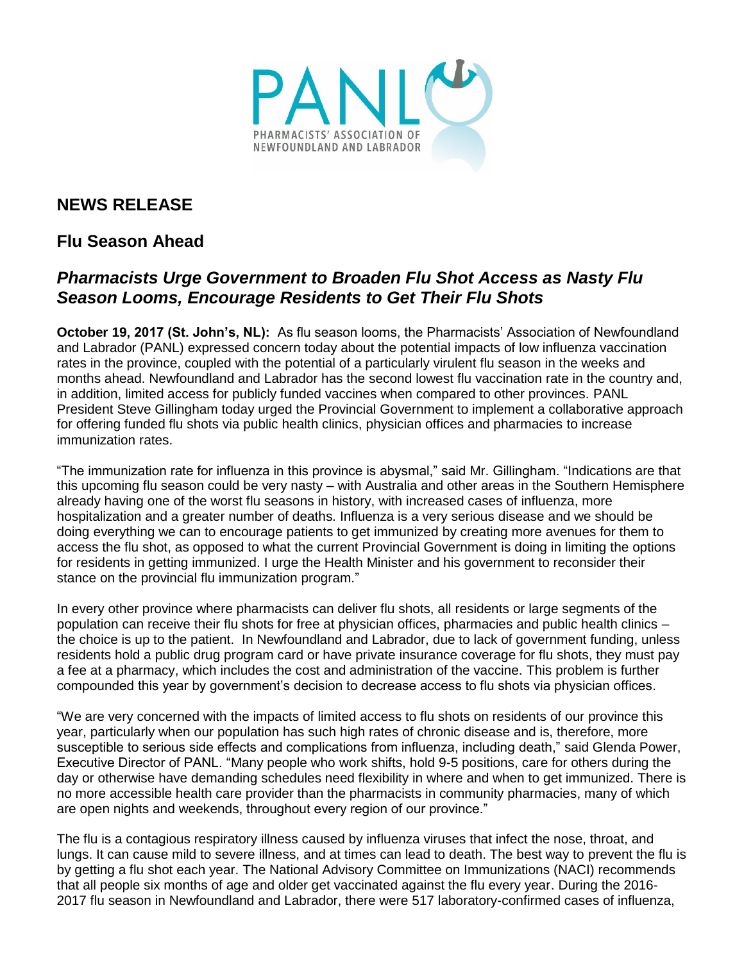

## **NEWS RELEASE**

## **Flu Season Ahead**

## *Pharmacists Urge Government to Broaden Flu Shot Access as Nasty Flu Season Looms, Encourage Residents to Get Their Flu Shots*

**October 19, 2017 (St. John's, NL):** As flu season looms, the Pharmacists' Association of Newfoundland and Labrador (PANL) expressed concern today about the potential impacts of low influenza vaccination rates in the province, coupled with the potential of a particularly virulent flu season in the weeks and months ahead. Newfoundland and Labrador has the second lowest flu vaccination rate in the country and, in addition, limited access for publicly funded vaccines when compared to other provinces. PANL President Steve Gillingham today urged the Provincial Government to implement a collaborative approach for offering funded flu shots via public health clinics, physician offices and pharmacies to increase immunization rates.

"The immunization rate for influenza in this province is abysmal," said Mr. Gillingham. "Indications are that this upcoming flu season could be very nasty – with Australia and other areas in the Southern Hemisphere already having one of the worst flu seasons in history, with increased cases of influenza, more hospitalization and a greater number of deaths. Influenza is a very serious disease and we should be doing everything we can to encourage patients to get immunized by creating more avenues for them to access the flu shot, as opposed to what the current Provincial Government is doing in limiting the options for residents in getting immunized. I urge the Health Minister and his government to reconsider their stance on the provincial flu immunization program."

In every other province where pharmacists can deliver flu shots, all residents or large segments of the population can receive their flu shots for free at physician offices, pharmacies and public health clinics – the choice is up to the patient. In Newfoundland and Labrador, due to lack of government funding, unless residents hold a public drug program card or have private insurance coverage for flu shots, they must pay a fee at a pharmacy, which includes the cost and administration of the vaccine. This problem is further compounded this year by government's decision to decrease access to flu shots via physician offices.

"We are very concerned with the impacts of limited access to flu shots on residents of our province this year, particularly when our population has such high rates of chronic disease and is, therefore, more susceptible to serious side effects and complications from influenza, including death," said Glenda Power, Executive Director of PANL. "Many people who work shifts, hold 9-5 positions, care for others during the day or otherwise have demanding schedules need flexibility in where and when to get immunized. There is no more accessible health care provider than the pharmacists in community pharmacies, many of which are open nights and weekends, throughout every region of our province."

The flu is a contagious respiratory illness caused by influenza viruses that infect the nose, throat, and lungs. It can cause mild to severe illness, and at times can lead to death. The best way to prevent the flu is by getting a flu shot each year. The National Advisory Committee on Immunizations (NACI) recommends that all people six months of age and older get vaccinated against the flu every year. During the 2016- 2017 flu season in Newfoundland and Labrador, there were 517 laboratory-confirmed cases of influenza,